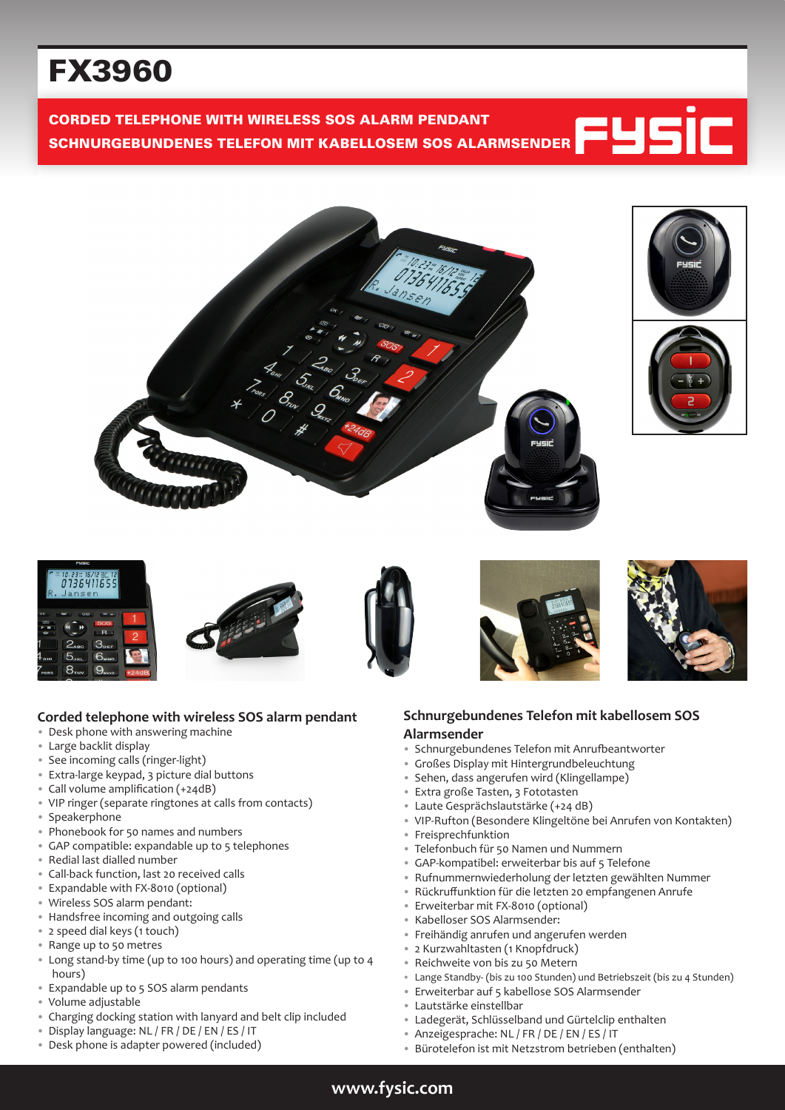# FX3960

CORDED TELEPHONE WITH WIRELESS SOS ALARM PENDANT SCHNURGEBUNDENES TELEFON MIT KABELLOSEM SOS ALARMSENDER













#### **Corded telephone with wireless SOS alarm pendant**

- Desk phone with answering machine
- Large backlit display
- See incoming calls (ringer-light)
- Extra-large keypad, 3 picture dial buttons
- Call volume amplification (+24dB)
- VIP ringer (separate ringtones at calls from contacts)
- Speakerphone
- Phonebook for 50 names and numbers
- GAP compatible: expandable up to 5 telephones
- Redial last dialled number
- Call-back function, last 20 received calls
- Expandable with FX-8010 (optional)
- Wireless SOS alarm pendant:
- Handsfree incoming and outgoing calls
- 2 speed dial keys (1 touch)
- Range up to 50 metres
- Long stand-by time (up to 100 hours) and operating time (up to 4 hours)
- Expandable up to 5 SOS alarm pendants
- Volume adjustable
- Charging docking station with lanyard and belt clip included
- Display language: NL / FR / DE / EN / ES / IT
- Desk phone is adapter powered (included)

#### **Schnurgebundenes Telefon mit kabellosem SOS Alarmsender**

- Schnurgebundenes Telefon mit Anrufbeantworter
- Großes Display mit Hintergrundbeleuchtung
- Sehen, dass angerufen wird (Klingellampe)
- Extra große Tasten, 3 Fototasten
- Laute Gesprächslautstärke (+24 dB)
- VIP-Rufton (Besondere Klingeltöne bei Anrufen von Kontakten)
- Freisprechfunktion
- Telefonbuch für 50 Namen und Nummern
- GAP-kompatibel: erweiterbar bis auf 5 Telefone
- Rufnummernwiederholung der letzten gewählten Nummer
- Rückruffunktion für die letzten 20 empfangenen Anrufe
- Erweiterbar mit FX-8010 (optional)
- Kabelloser SOS Alarmsender:
- Freihändig anrufen und angerufen werden
- 2 Kurzwahltasten (1 Knopfdruck)
- Reichweite von bis zu 50 Metern
- Lange Standby- (bis zu 100 Stunden) und Betriebszeit (bis zu 4 Stunden)
- Erweiterbar auf 5 kabellose SOS Alarmsender
- Lautstärke einstellbar
- Ladegerät, Schlüsselband und Gürtelclip enthalten
- Anzeigesprache: NL / FR / DE / EN / ES / IT
- Bürotelefon ist mit Netzstrom betrieben (enthalten)

## **www.fysic.com**